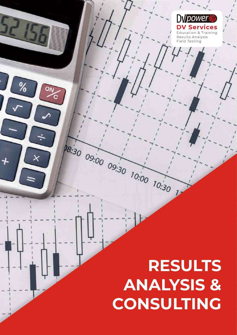# 8:30 09:00 09:30 10:00 10:30  $\overline{\mathsf{X}}$ **RESULTS ANALYSIS & CONSULTING**

 $\%$ 

**DV** power

**DV Services Education & Training** Results Analysis Field Testing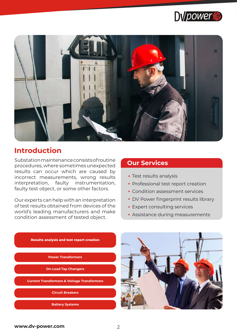



# **Introduction**

Substation maintenance consists of routine procedures, where sometimes unexpected results can occur which are caused by incorrect measurements, wrong results interpretation, faulty instrumentation, faulty test object, or some other factors.

Our experts can help with an interpretation of test results obtained from devices of the world's leading manufacturers and make condition assessment of tested object.

#### **Our Services**

- Test results analysis
- Professional test report creation
- Condition assessment services
- DV Power fingerprint results library
- Expert consulting services
- Assistance during measurements



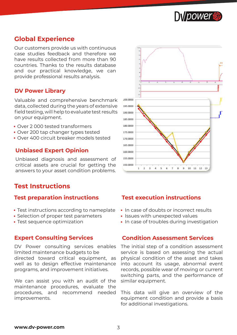

# **Global Experience**

Our customers provide us with continuous case studies feedback and therefore we have results collected from more than 90 countries. Thanks to the results database and our practical knowledge, we can provide professional results analysis.

#### **DV Power Library**

Valuable and comprehensive benchmark data, collected during the years of extensive field testing, will help to evaluate test results on your equipment.

- Over 2 000 tested transformers
- Over 200 tap changer types tested
- Over 400 circuit breaker models tested

#### **Unbiased Expert Opinion**

Unbiased diagnosis and assessment of critical assets are crucial for getting the answers to your asset condition problems.

#### **Test Instructions**

#### **Test preparation instructions**

- Test instructions according to nameplate
- Selection of proper test parameters
- Test sequence optimization

#### **Expert Consulting Services**

DV Power consulting services enables limited maintenance budgets to be directed toward critical equipment, as well as to design effective maintenance programs, and improvement initiatives.

We can assist you with an audit of the maintenance procedures, evaluate the procedures, and recommend needed improvements.



#### **Test execution instructions**

- In case of doubts or incorrect results
- Issues with unexpected values
- In case of troubles during investigation

#### **Condition Assessment Services**

The initial step of a condition assessment service is based on assessing the actual physical condition of the asset and takes into account its usage, abnormal event records, possible wear of moving or current switching parts, and the performance of similar equipment.

This data will give an overview of the equipment condition and provide a basis for additional investigations.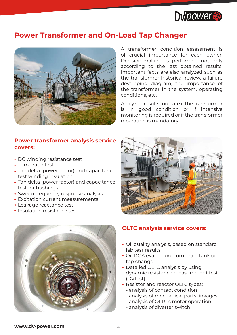

# **Power Transformer and On-Load Tap Changer**



**Power transformer analysis service covers:**

- DC winding resistance test
- Turns ratio test
- Tan delta (power factor) and capacitance test winding insulation
- Tan delta (power factor) and capacitance test for bushings
- Sweep frequency response analysis
- Excitation current measurements
- Leakage reactance test
- Insulation resistance test



A transformer condition assessment is of crucial importance for each owner. Decision-making is performed not only according to the last obtained results. Important facts are also analyzed such as the transformer historical review, a failure developing diagram, the importance of the transformer in the system, operating conditions, etc.

Analyzed results indicate if the transformer is in good condition or if intensive monitoring is required or if the transformer reparation is mandatory.



#### **OLTC analysis service covers:**

- Oil quality analysis, based on standard lab test results
- Oil DGA evaluation from main tank or tap changer
- Detailed OLTC analysis by using dynamic resistance measurement test (DVtest)
- Resistor and reactor OLTC types:
	- analysis of contact condition
	- analysis of mechanical parts linkages
	- analysis of OLTC's motor operation
	- analysis of diverter switch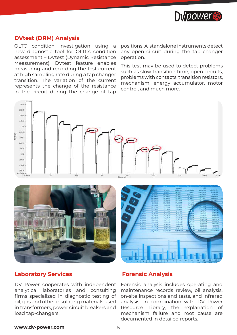

#### **DVtest (DRM) Analysis**

OLTC condition investigation using a new diagnostic tool for OLTCs condition assessment – DVtest (Dynamic Resistance Measurement). DVtest feature enables measuring and recording the test current at high sampling rate during a tap changer transition. The variation of the current represents the change of the resistance in the circuit during the change of tap positions. A standalone instruments detect any open circuit during the tap changer operation.

This test may be used to detect problems such as slow transition time, open circuits, problems with contacts, transition resistors, mechanism, energy accumulator, motor control, and much more.







#### **Laboratory Services Forensic Analysis**

DV Power cooperates with independent analytical laboratories and consulting firms specialized in diagnostic testing of oil, gas and other insulating materials used in transformers, power circuit breakers and load tap-changers.

Forensic analysis includes operating and maintenance records review, oil analysis, on-site inspections and tests, and infrared analysis. In combination with DV Power Resource Library, the explanation of mechanism failure and root cause are documented in detailed reports.

#### **www.dv-power.com** 5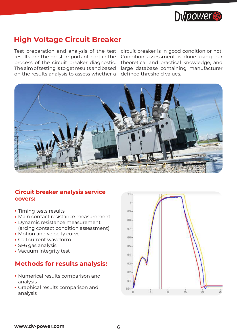

# **High Voltage Circuit Breaker**

results are the most important part in the process of the circuit breaker diagnostic. The aim of testing is to get results and based on the results analysis to assess whether a

Test preparation and analysis of the test circuit breaker is in good condition or not. Condition assessment is done using our theoretical and practical knowledge, and large database containing manufacturer defined threshold values.



### **Circuit breaker analysis service covers:**

- Timing tests results
- Main contact resistance measurement
- Dynamic resistance measurement (arcing contact condition assessment)
- Motion and velocity curve
- Coil current waveform
- SF6 gas analysis
- Vacuum integrity test

# **Methods for results analysis:**

- Numerical results comparison and analysis
- Graphical results comparison and analysis

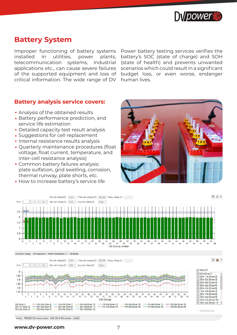

# **Battery System**

Improper functioning of battery systems installed in utilities, power plants, telecommunication systems, industrial applications etc., can cause severe failures of the supported equipment and loss of critical information. The wide range of DV Power battery testing services verifies the battery's SOC (state of charge) and SOH (state of health) and prevents unwanted scenarios which could result in a significant budget loss, or even worse, endanger human lives.

#### **Battery analysis service covers:**

- Analysis of the obtained results
- Battery performance prediction, and service life estimation
- Detailed capacity test result analysis
- Suggestions for cell replacement
- Internal resistance results analysis
- Quarterly maintenance procedures (float voltage, float current, temperature, and inter-cell resistance analysis)
- Common battery failures analysis: plate sulfation, grid swelling, corrosion, thermal runway, plate shorts, etc.
- How to increase battery's service life









umber 17BS583 Firmware version 0.08 DV-B Win version 2.2.9.0

**www.dv-power.com** 7